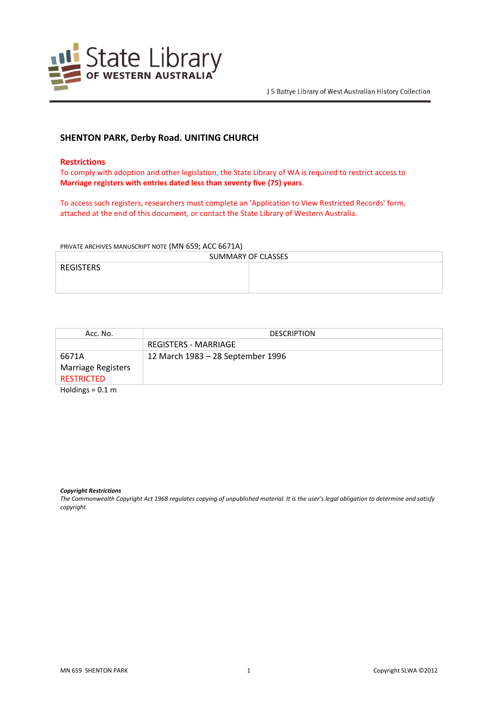

# **SHENTON PARK, Derby Road. UNITING CHURCH**

### **Restrictions**

To comply with adoption and other legislation, the State Library of WA is required to restrict access to **Marriage registers with entries dated less than seventy five (75) years**.

To access such registers, researchers must complete an 'Application to View Restricted Records' form, attached at the end of this document, or contact the State Library of Western Australia.

#### PRIVATE ARCHIVES MANUSCRIPT NOTE (MN 659; ACC 6671A)

| SUMMARY OF CLASSES |  |  |
|--------------------|--|--|
| REGISTERS          |  |  |
|                    |  |  |
|                    |  |  |

| Acc. No.                  | <b>DESCRIPTION</b>                |
|---------------------------|-----------------------------------|
|                           | REGISTERS - MARRIAGE              |
| 6671A                     | 12 March 1983 - 28 September 1996 |
| <b>Marriage Registers</b> |                                   |
| <b>RESTRICTED</b>         |                                   |
| $\mathbf{a}$ $\mathbf{b}$ |                                   |

Holdings = 0.1 m

#### *Copyright Restrictions*

The Commonwealth Copyright Act 1968 regulates copying of unpublished material. It is the user's legal obligation to determine and satisfy *copyright.*